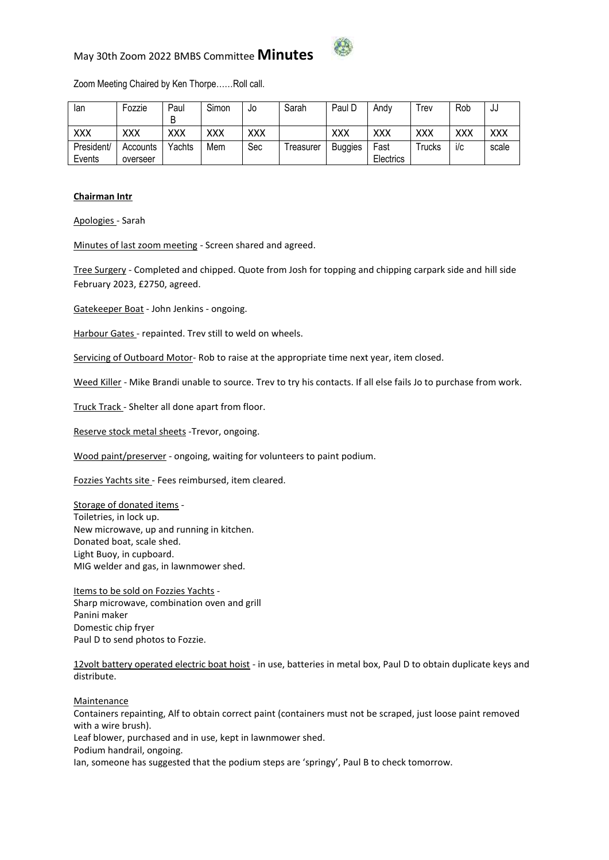

## May 30th Zoom 2022 BMBS Committee **Minutes**

Zoom Meeting Chaired by Ken Thorpe……Roll call.

| lan        | Fozzie   | Paul       | Simon | J0  | Sarah      | Paul D         | Andv             | rev     | Rob        | ັປປ        |
|------------|----------|------------|-------|-----|------------|----------------|------------------|---------|------------|------------|
|            |          | B          |       |     |            |                |                  |         |            |            |
| xxx        | XXX      | <b>XXX</b> | XXX   | XXX |            | XXX            | XXX              | XXX     | <b>XXX</b> | <b>XXX</b> |
| President/ | Accounts | Yachts     | Mem   | Sec | l reasurer | <b>Buggies</b> | Fast             | l rucks | i/c        | scale      |
| Events     | overseer |            |       |     |            |                | <b>Electrics</b> |         |            |            |

#### **Chairman Intr**

Apologies - Sarah

Minutes of last zoom meeting - Screen shared and agreed.

Tree Surgery - Completed and chipped. Quote from Josh for topping and chipping carpark side and hill side February 2023, £2750, agreed.

Gatekeeper Boat - John Jenkins - ongoing.

Harbour Gates - repainted. Trev still to weld on wheels.

Servicing of Outboard Motor- Rob to raise at the appropriate time next year, item closed.

Weed Killer - Mike Brandi unable to source. Trev to try his contacts. If all else fails Jo to purchase from work.

Truck Track - Shelter all done apart from floor.

Reserve stock metal sheets -Trevor, ongoing.

Wood paint/preserver - ongoing, waiting for volunteers to paint podium.

Fozzies Yachts site - Fees reimbursed, item cleared.

Storage of donated items - Toiletries, in lock up. New microwave, up and running in kitchen. Donated boat, scale shed. Light Buoy, in cupboard. MIG welder and gas, in lawnmower shed.

Items to be sold on Fozzies Yachts -Sharp microwave, combination oven and grill Panini maker Domestic chip fryer Paul D to send photos to Fozzie.

12volt battery operated electric boat hoist - in use, batteries in metal box, Paul D to obtain duplicate keys and distribute.

Maintenance

Containers repainting, Alf to obtain correct paint (containers must not be scraped, just loose paint removed with a wire brush).

Leaf blower, purchased and in use, kept in lawnmower shed.

Podium handrail, ongoing.

Ian, someone has suggested that the podium steps are 'springy', Paul B to check tomorrow.